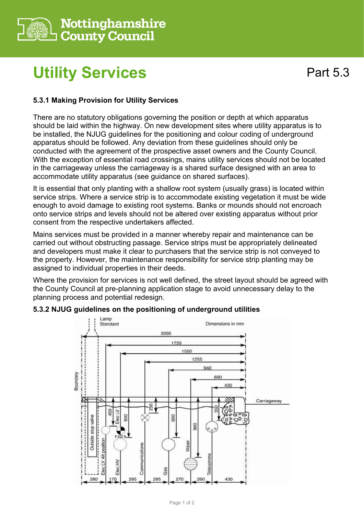

## **Utility Services**

## **5.3.1 Making Provision for Utility Services**

There are no statutory obligations governing the position or depth at which apparatus should be laid within the highway. On new development sites where utility apparatus is to be installed, the NJUG guidelines for the positioning and colour coding of underground apparatus should be followed. Any deviation from these guidelines should only be conducted with the agreement of the prospective asset owners and the County Council. With the exception of essential road crossings, mains utility services should not be located in the carriageway unless the carriageway is a shared surface designed with an area to accommodate utility apparatus (see guidance on shared surfaces).

It is essential that only planting with a shallow root system (usually grass) is located within service strips. Where a service strip is to accommodate existing vegetation it must be wide enough to avoid damage to existing root systems. Banks or mounds should not encroach onto service strips and levels should not be altered over existing apparatus without prior consent from the respective undertakers affected.

Mains services must be provided in a manner whereby repair and maintenance can be carried out without obstructing passage. Service strips must be appropriately delineated and developers must make it clear to purchasers that the service strip is not conveyed to the property. However, the maintenance responsibility for service strip planting may be assigned to individual properties in their deeds.

Where the provision for services is not well defined, the street layout should be agreed with the County Council at pre-planning application stage to avoid unnecessary delay to the planning process and potential redesign.



## **5.3.2 NJUG guidelines on the positioning of underground utilities**